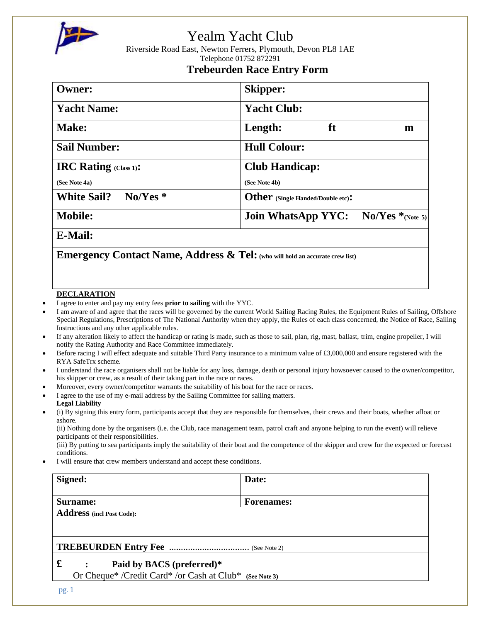

# Yealm Yacht Club

Riverside Road East, Newton Ferrers, Plymouth, Devon PL8 1AE Telephone 01752 872291

### **Trebeurden Race Entry Form**

| <b>Owner:</b>                    | <b>Skipper:</b>                                                |  |  |
|----------------------------------|----------------------------------------------------------------|--|--|
| <b>Yacht Name:</b>               | <b>Yacht Club:</b>                                             |  |  |
| <b>Make:</b>                     | ft<br>Length:<br>m                                             |  |  |
| <b>Sail Number:</b>              | <b>Hull Colour:</b>                                            |  |  |
| <b>IRC Rating (Class 1):</b>     | <b>Club Handicap:</b>                                          |  |  |
| (See Note 4a)                    | (See Note 4b)                                                  |  |  |
| $No/Yes$ *<br><b>White Sail?</b> | Other (Single Handed/Double etc):                              |  |  |
| <b>Mobile:</b>                   | $\rm No/Yes*$ <sub>(Note 5)</sub><br><b>Join WhatsApp YYC:</b> |  |  |
| __ _ _ _                         |                                                                |  |  |

**E-Mail:**

**Emergency Contact Name, Address & Tel:(who will hold an accurate crew list)**

#### **DECLARATION**

- I agree to enter and pay my entry fees **prior to sailing** with the YYC.
- I am aware of and agree that the races will be governed by the current World Sailing Racing Rules, the Equipment Rules of Sailing, Offshore Special Regulations, Prescriptions of The National Authority when they apply, the Rules of each class concerned, the Notice of Race, Sailing Instructions and any other applicable rules.
- If any alteration likely to affect the handicap or rating is made, such as those to sail, plan, rig, mast, ballast, trim, engine propeller, I will notify the Rating Authority and Race Committee immediately.
- Before racing I will effect adequate and suitable Third Party insurance to a minimum value of £3,000,000 and ensure registered with the RYA SafeTrx scheme.
- I understand the race organisers shall not be liable for any loss, damage, death or personal injury howsoever caused to the owner/competitor, his skipper or crew, as a result of their taking part in the race or races.
- Moreover, every owner/competitor warrants the suitability of his boat for the race or races.
- I agree to the use of my e-mail address by the Sailing Committee for sailing matters.
- **Legal Liability**
- (i) By signing this entry form, participants accept that they are responsible for themselves, their crews and their boats, whether afloat or ashore.

(ii) Nothing done by the organisers (i.e. the Club, race management team, patrol craft and anyone helping to run the event) will relieve participants of their responsibilities.

(iii) By putting to sea participants imply the suitability of their boat and the competence of the skipper and crew for the expected or forecast conditions.

I will ensure that crew members understand and accept these conditions.

| Signed:                                                 | Date:             |  |
|---------------------------------------------------------|-------------------|--|
| Surname:                                                | <b>Forenames:</b> |  |
| <b>Address</b> (incl Post Code):                        |                   |  |
|                                                         |                   |  |
|                                                         |                   |  |
| £<br>Paid by BACS (preferred)*                          |                   |  |
| Or Cheque* /Credit Card* /or Cash at Club* (See Note 3) |                   |  |
|                                                         |                   |  |